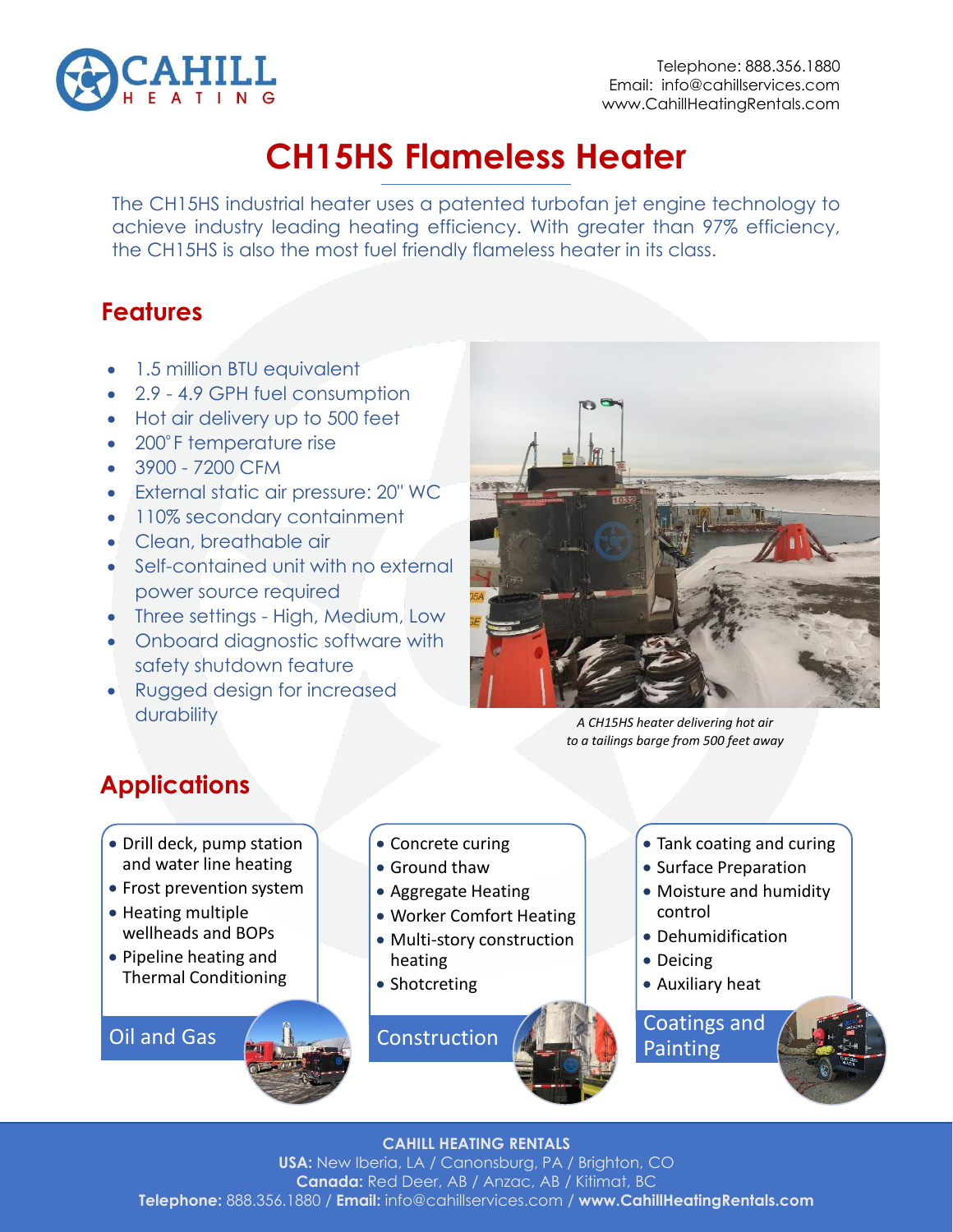

# **CH15HS Flameless Heater**

The CH15HS industrial heater uses a patented turbofan jet engine technology to achieve industry leading heating efficiency. With greater than 97% efficiency, the CH15HS is also the most fuel friendly flameless heater in its class.

## **Features**

- 1.5 million BTU equivalent
- 2.9 4.9 GPH fuel consumption
- Hot air delivery up to 500 feet
- 200°F temperature rise
- 3900 7200 CFM
- External static air pressure: 20" WC
- 110% secondary containment
- Clean, breathable air
- Self-contained unit with no external power source required
- Three settings High, Medium, Low
- Onboard diagnostic software with safety shutdown feature
- Rugged design for increased durability



*A CH15HS heater delivering hot air to a tailings barge from 500 feet away* 

## **Applications**

- Drill deck, pump station and water line heating
- Frost prevention system
- Heating multiple wellheads and BOPs
- Pipeline heating and Thermal Conditioning

Oil and Gas

• Concrete curing

- Ground thaw
- Aggregate Heating
- Worker Comfort Heating
- Multi-story construction heating
- Shotcreting

**Construction** 

- Tank coating and curing
- Surface Preparation
- Moisture and humidity control
- Dehumidification
- Deicing
- Auxiliary heat

Coatings and **Painting** 

### **CAHILL HEATING RENTALS**

**USA:** New Iberia, LA / Canonsburg, PA / Brighton, CO **Canada:** Red Deer, AB / Anzac, AB / Kitimat, BC **Telephone:** 888.356.1880 / **Email:** info@cahillservices.com / **www.CahillHeatingRentals.com**